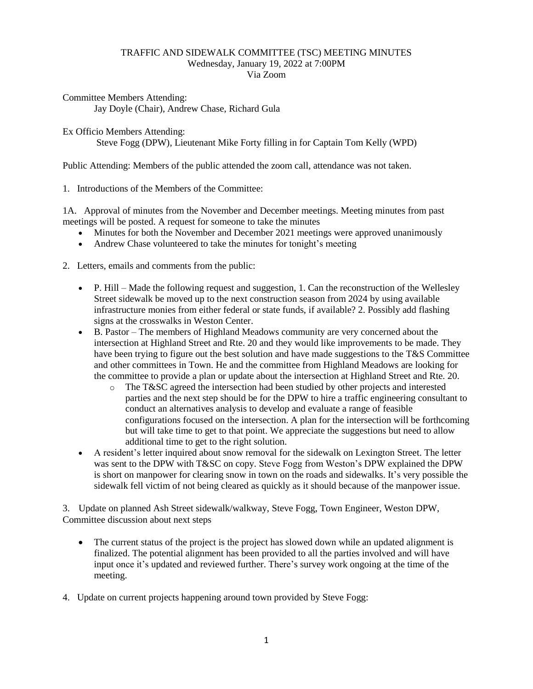## TRAFFIC AND SIDEWALK COMMITTEE (TSC) MEETING MINUTES Wednesday, January 19, 2022 at 7:00PM Via Zoom

Committee Members Attending:

Jay Doyle (Chair), Andrew Chase, Richard Gula

Ex Officio Members Attending:

Steve Fogg (DPW), Lieutenant Mike Forty filling in for Captain Tom Kelly (WPD)

Public Attending: Members of the public attended the zoom call, attendance was not taken.

1. Introductions of the Members of the Committee:

1A. Approval of minutes from the November and December meetings. Meeting minutes from past meetings will be posted. A request for someone to take the minutes

- Minutes for both the November and December 2021 meetings were approved unanimously
- Andrew Chase volunteered to take the minutes for tonight's meeting
- 2. Letters, emails and comments from the public:
	- P. Hill Made the following request and suggestion, 1. Can the reconstruction of the Wellesley Street sidewalk be moved up to the next construction season from 2024 by using available infrastructure monies from either federal or state funds, if available? 2. Possibly add flashing signs at the crosswalks in Weston Center.
	- B. Pastor The members of Highland Meadows community are very concerned about the intersection at Highland Street and Rte. 20 and they would like improvements to be made. They have been trying to figure out the best solution and have made suggestions to the  $T&S$  Committee and other committees in Town. He and the committee from Highland Meadows are looking for the committee to provide a plan or update about the intersection at Highland Street and Rte. 20.
		- o The T&SC agreed the intersection had been studied by other projects and interested parties and the next step should be for the DPW to hire a traffic engineering consultant to conduct an alternatives analysis to develop and evaluate a range of feasible configurations focused on the intersection. A plan for the intersection will be forthcoming but will take time to get to that point. We appreciate the suggestions but need to allow additional time to get to the right solution.
	- A resident's letter inquired about snow removal for the sidewalk on Lexington Street. The letter was sent to the DPW with T&SC on copy. Steve Fogg from Weston's DPW explained the DPW is short on manpower for clearing snow in town on the roads and sidewalks. It's very possible the sidewalk fell victim of not being cleared as quickly as it should because of the manpower issue.

3. Update on planned Ash Street sidewalk/walkway, Steve Fogg, Town Engineer, Weston DPW, Committee discussion about next steps

- The current status of the project is the project has slowed down while an updated alignment is finalized. The potential alignment has been provided to all the parties involved and will have input once it's updated and reviewed further. There's survey work ongoing at the time of the meeting.
- 4. Update on current projects happening around town provided by Steve Fogg: